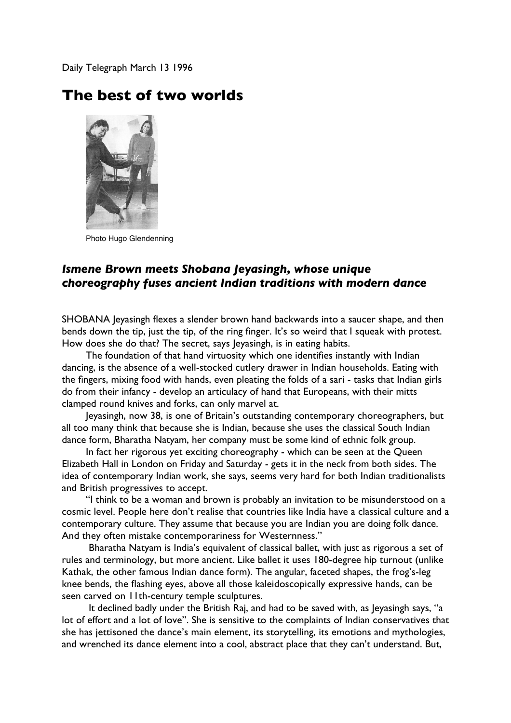Daily Telegraph March 13 1996

## **The best of two worlds**



Photo Hugo Glendenning

## *Ismene Brown meets Shobana Jeyasingh, whose unique choreography fuses ancient Indian traditions with modern dance*

SHOBANA Jeyasingh flexes a slender brown hand backwards into a saucer shape, and then bends down the tip, just the tip, of the ring finger. It's so weird that I squeak with protest. How does she do that? The secret, says leyasingh, is in eating habits.

The foundation of that hand virtuosity which one identifies instantly with Indian dancing, is the absence of a well-stocked cutlery drawer in Indian households. Eating with the fingers, mixing food with hands, even pleating the folds of a sari - tasks that Indian girls do from their infancy - develop an articulacy of hand that Europeans, with their mitts clamped round knives and forks, can only marvel at.

Jeyasingh, now 38, is one of Britain's outstanding contemporary choreographers, but all too many think that because she is Indian, because she uses the classical South Indian dance form, Bharatha Natyam, her company must be some kind of ethnic folk group.

In fact her rigorous yet exciting choreography - which can be seen at the Queen Elizabeth Hall in London on Friday and Saturday - gets it in the neck from both sides. The idea of contemporary Indian work, she says, seems very hard for both Indian traditionalists and British progressives to accept.

"I think to be a woman and brown is probably an invitation to be misunderstood on a cosmic level. People here don't realise that countries like India have a classical culture and a contemporary culture. They assume that because you are Indian you are doing folk dance. And they often mistake contemporariness for Westernness."

 Bharatha Natyam is India's equivalent of classical ballet, with just as rigorous a set of rules and terminology, but more ancient. Like ballet it uses 180-degree hip turnout (unlike Kathak, the other famous Indian dance form). The angular, faceted shapes, the frog's-leg knee bends, the flashing eyes, above all those kaleidoscopically expressive hands, can be seen carved on 11th-century temple sculptures.

 It declined badly under the British Raj, and had to be saved with, as Jeyasingh says, "a lot of effort and a lot of love". She is sensitive to the complaints of Indian conservatives that she has jettisoned the dance's main element, its storytelling, its emotions and mythologies, and wrenched its dance element into a cool, abstract place that they can't understand. But,